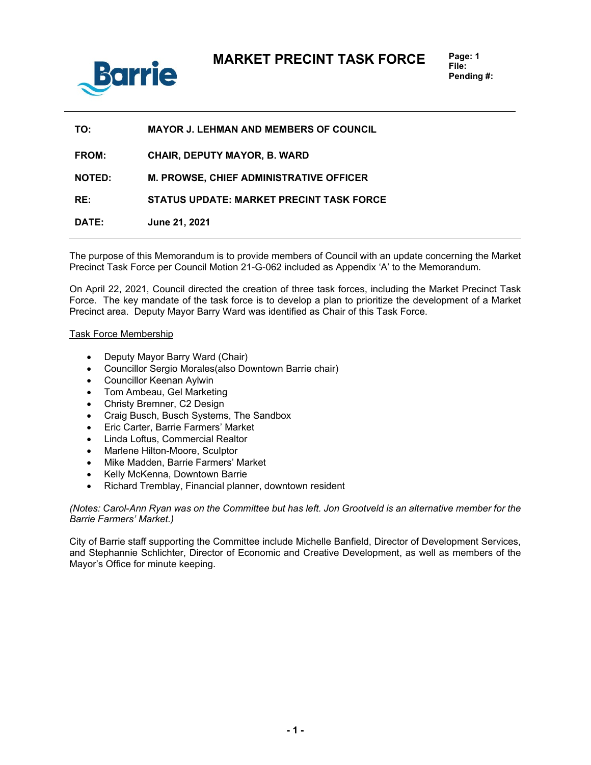

| TO:           | <b>MAYOR J. LEHMAN AND MEMBERS OF COUNCIL</b>   |
|---------------|-------------------------------------------------|
| <b>FROM:</b>  | <b>CHAIR, DEPUTY MAYOR, B. WARD</b>             |
| <b>NOTED:</b> | <b>M. PROWSE, CHIEF ADMINISTRATIVE OFFICER</b>  |
| RE:           | <b>STATUS UPDATE: MARKET PRECINT TASK FORCE</b> |
| DATE:         | June 21, 2021                                   |

The purpose of this Memorandum is to provide members of Council with an update concerning the Market Precinct Task Force per Council Motion 21-G-062 included as Appendix 'A' to the Memorandum.

On April 22, 2021, Council directed the creation of three task forces, including the Market Precinct Task Force. The key mandate of the task force is to develop a plan to prioritize the development of a Market Precinct area. Deputy Mayor Barry Ward was identified as Chair of this Task Force.

## Task Force Membership

- Deputy Mayor Barry Ward (Chair)
- Councillor Sergio Morales(also Downtown Barrie chair)
- Councillor Keenan Aylwin
- Tom Ambeau, Gel Marketing
- Christy Bremner, C2 Design
- Craig Busch, Busch Systems, The Sandbox
- Eric Carter, Barrie Farmers' Market
- Linda Loftus, Commercial Realtor
- Marlene Hilton-Moore, Sculptor
- Mike Madden, Barrie Farmers' Market
- Kelly McKenna, Downtown Barrie
- Richard Tremblay, Financial planner, downtown resident

*(Notes: Carol-Ann Ryan was on the Committee but has left. Jon Grootveld is an alternative member for the Barrie Farmers' Market.)*

City of Barrie staff supporting the Committee include Michelle Banfield, Director of Development Services, and Stephannie Schlichter, Director of Economic and Creative Development, as well as members of the Mayor's Office for minute keeping.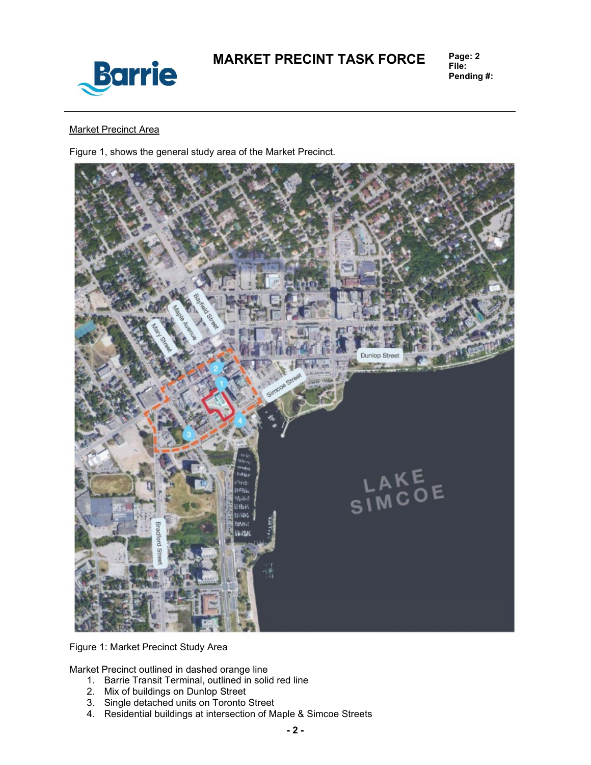

# **MARKET PRECINT TASK FORCE**

**File: Pending #:**

## Market Precinct Area

Figure 1, shows the general study area of the Market Precinct.



Figure 1: Market Precinct Study Area

Market Precinct outlined in dashed orange line

- 1. Barrie Transit Terminal, outlined in solid red line
- 2. Mix of buildings on Dunlop Street
- 3. Single detached units on Toronto Street
- 4. Residential buildings at intersection of Maple & Simcoe Streets